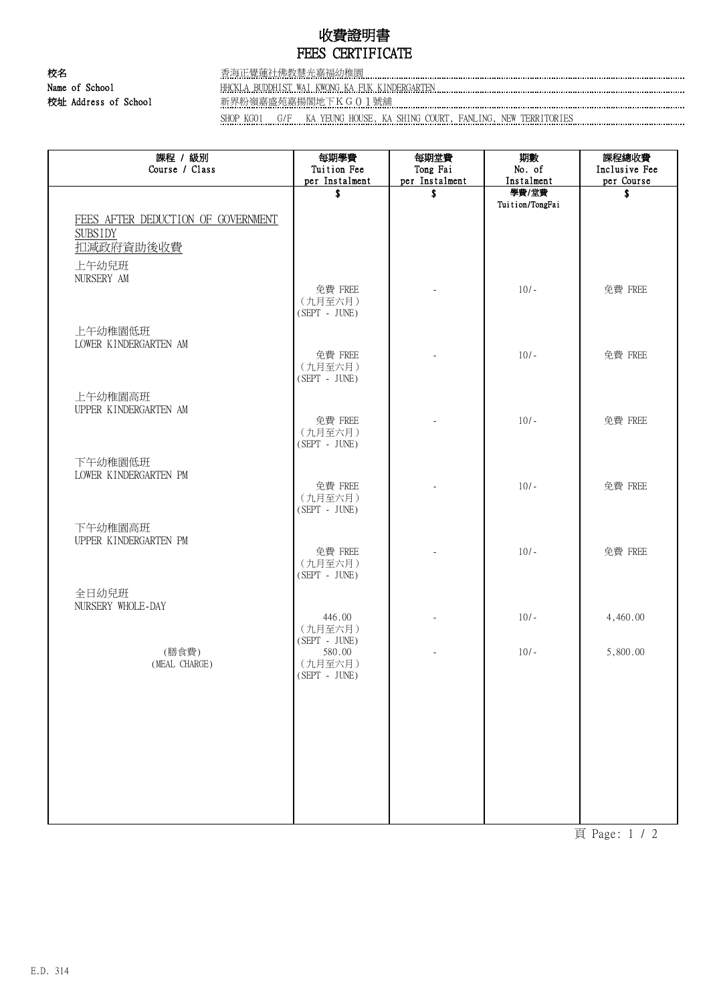## 收費證明書 FEES CERTIFICATE

校名 香海正覺蓮社佛教慧光嘉福幼稚園 Name of School HHCKLA BUDDHIST WAI KWONG KA FUK KINDERGARTEN 校址 Address of School 新界粉嶺嘉盛苑嘉揚閣地下KG01號舖

SHOP KG01 G/F KA YEUNG HOUSE, KA SHING COURT, FANLING, NEW TERRITORIES

| 課程 / 級別<br>Course / Class          | 每期學費<br>Tuition Fee        | 每期堂費<br>Tong Fai         | 期數<br>No. of             | 課程總收費<br>Inclusive Fee |
|------------------------------------|----------------------------|--------------------------|--------------------------|------------------------|
|                                    | per Instalment             | per Instalment           | Instalment               | per Course             |
|                                    | \$                         | \$                       | 學費/堂費<br>Tuition/TongFai | \$                     |
| FEES AFTER DEDUCTION OF GOVERNMENT |                            |                          |                          |                        |
| <b>SUBSIDY</b>                     |                            |                          |                          |                        |
| 扣減政府資助後收費                          |                            |                          |                          |                        |
| 上午幼兒班                              |                            |                          |                          |                        |
| NURSERY AM                         |                            |                          |                          |                        |
|                                    | 免費 FREE                    |                          | $10/-$                   | 免費 FREE                |
|                                    | (九月至六月)<br>$(SEPT - JUNE)$ |                          |                          |                        |
|                                    |                            |                          |                          |                        |
| 上午幼稚園低班<br>LOWER KINDERGARTEN AM   |                            |                          |                          |                        |
|                                    | 免費 FREE                    | $\overline{\phantom{a}}$ | $10/-$                   | 免費 FREE                |
|                                    | (九月至六月)                    |                          |                          |                        |
|                                    | $(SEPT - JUNE)$            |                          |                          |                        |
| 上午幼稚園高班                            |                            |                          |                          |                        |
| UPPER KINDERGARTEN AM              | 免費 FREE                    |                          | $10/-$                   | 免費 FREE                |
|                                    | (九月至六月)                    |                          |                          |                        |
|                                    | $(SEPT - JUNE)$            |                          |                          |                        |
| 下午幼稚園低班                            |                            |                          |                          |                        |
| LOWER KINDERGARTEN PM              | 免費 FREE                    |                          | $10/-$                   | 免費 FREE                |
|                                    | (九月至六月)                    |                          |                          |                        |
|                                    | $(SEPT - JUNE)$            |                          |                          |                        |
| 下午幼稚園高班                            |                            |                          |                          |                        |
| UPPER KINDERGARTEN PM              |                            |                          | $10/-$                   |                        |
|                                    | 免費 FREE<br>(九月至六月)         | $\overline{\phantom{a}}$ |                          | 免費 FREE                |
|                                    | $(SEPT - JUNE)$            |                          |                          |                        |
| 全日幼兒班                              |                            |                          |                          |                        |
| NURSERY WHOLE-DAY                  |                            |                          |                          |                        |
|                                    | 446.00<br>(九月至六月)          |                          | $10/-$                   | 4,460.00               |
|                                    | $(SEPT - JUNE)$            |                          |                          |                        |
| (膳食費)                              | 580.00                     |                          | $10/-$                   | 5,800.00               |
| (MEAL CHARGE)                      | (九月至六月)<br>(SEPT - JUNE)   |                          |                          |                        |
|                                    |                            |                          |                          |                        |
|                                    |                            |                          |                          |                        |
|                                    |                            |                          |                          |                        |
|                                    |                            |                          |                          |                        |
|                                    |                            |                          |                          |                        |
|                                    |                            |                          |                          |                        |
|                                    |                            |                          |                          |                        |
|                                    |                            |                          |                          |                        |
|                                    |                            |                          |                          |                        |

頁 Page: 1 / 2